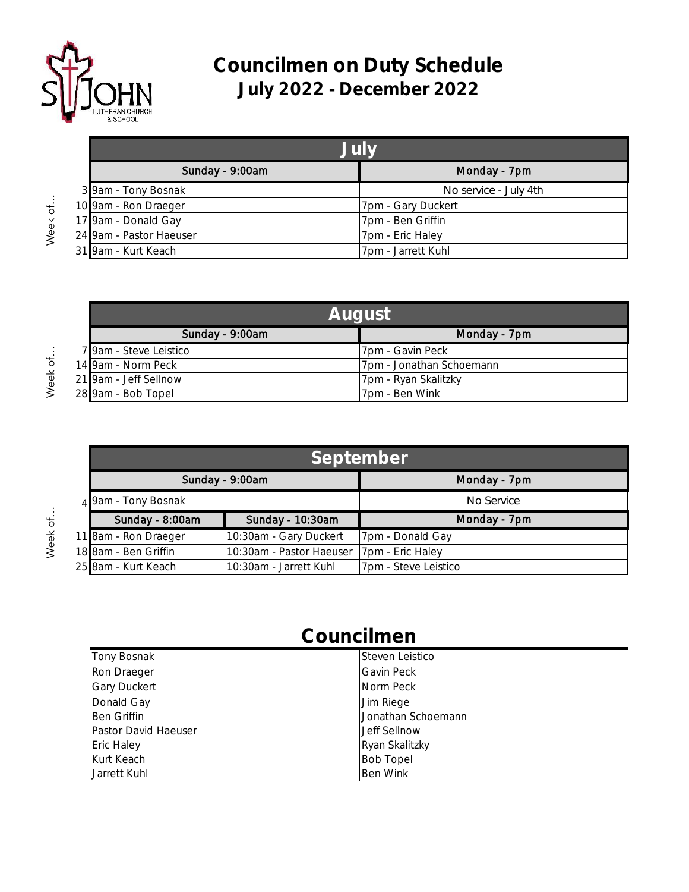

Week of...

Week of...

Week of...

## **Councilmen on Duty Schedule July 2022 - December 2022**

| July                    |                       |
|-------------------------|-----------------------|
| Sunday - 9:00am         | Monday - 7pm          |
| 3 9am - Tony Bosnak     | No service - July 4th |
| 10 9am - Ron Draeger    | 7pm - Gary Duckert    |
| 17 9am - Donald Gay     | 7pm - Ben Griffin     |
| 24 9am - Pastor Haeuser | 7pm - Eric Haley      |
| 31 9am - Kurt Keach     | 7pm - Jarrett Kuhl    |

| <b>August</b>          |                          |
|------------------------|--------------------------|
| Sunday - 9:00am        | Monday - 7pm             |
| 7 9am - Steve Leistico | 7pm - Gavin Peck         |
| 14 9am - Norm Peck     | 7pm - Jonathan Schoemann |
| 21 9am - Jeff Sellnow  | 7pm - Ryan Skalitzky     |
| 28 9am - Bob Topel     | 7pm - Ben Wink           |

| September <sup>'</sup> |                          |                      |
|------------------------|--------------------------|----------------------|
| Sunday - 9:00am        |                          | Monday - 7pm         |
| 4 9am - Tony Bosnak    |                          | No Service           |
| Sunday - 8:00am        | Sunday - 10:30am         | Monday - 7pm         |
| 11 8am - Ron Draeger   | 10:30am - Gary Duckert   | 7pm - Donald Gay     |
| 18 8am - Ben Griffin   | 10:30am - Pastor Haeuser | 7pm - Eric Haley     |
| 25 8am - Kurt Keach    | 10:30am - Jarrett Kuhl   | 7pm - Steve Leistico |

## **Councilmen**

| Tony Bosnak          | Steven Leistico    |
|----------------------|--------------------|
| Ron Draeger          | Gavin Peck         |
| <b>Gary Duckert</b>  | Norm Peck          |
| Donald Gay           | Jim Riege          |
| Ben Griffin          | Jonathan Schoemann |
| Pastor David Haeuser | Jeff Sellnow       |
| Eric Haley           | Ryan Skalitzky     |
| Kurt Keach           | <b>Bob Topel</b>   |
| Jarrett Kuhl         | <b>Ben Wink</b>    |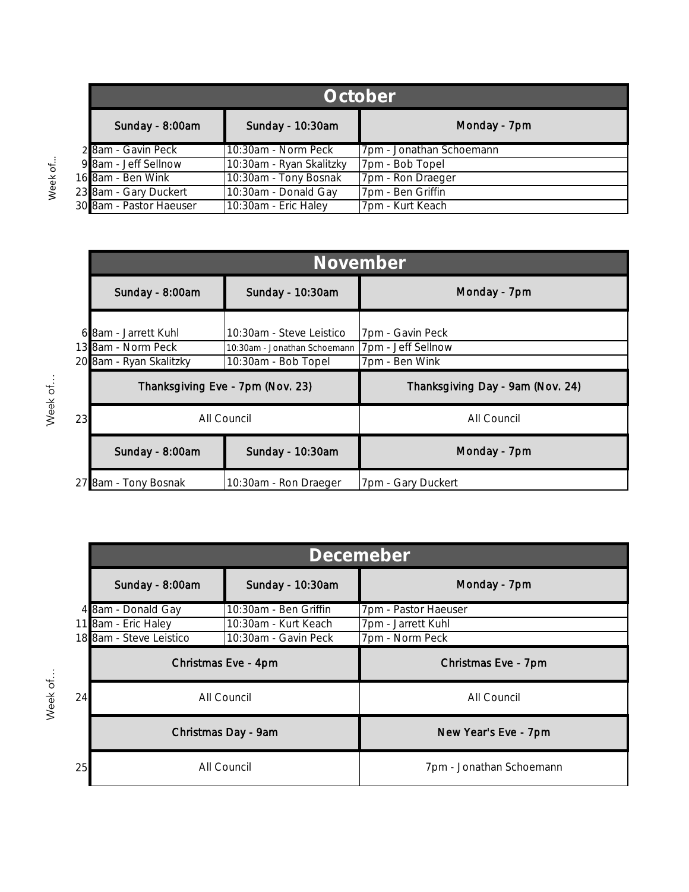| October                 |                          |                          |
|-------------------------|--------------------------|--------------------------|
| Sunday - 8:00am         | Sunday - 10:30am         | Monday - 7pm             |
| 2 8am - Gavin Peck      | 10:30am - Norm Peck      | 7pm - Jonathan Schoemann |
| 9 8am - Jeff Sellnow    | 10:30am - Ryan Skalitzky | 7pm - Bob Topel          |
| 16 8am - Ben Wink       | 10:30am - Tony Bosnak    | 7pm - Ron Draeger        |
| 23 8am - Gary Duckert   | 10:30am - Donald Gay     | 7pm - Ben Griffin        |
| 30 8am - Pastor Haeuser | 10:30am - Eric Haley     | 7pm - Kurt Keach         |

Week of…

Week of...

Week of...

|    | November                                      |                                                     |                                      |
|----|-----------------------------------------------|-----------------------------------------------------|--------------------------------------|
|    | Sunday - 8:00am                               | Sunday - 10:30am                                    | Monday - 7pm                         |
| 6  | 8am - Jarrett Kuhl                            | 10:30am - Steve Leistico                            | 7pm - Gavin Peck                     |
|    | 13 8am - Norm Peck<br>20 8am - Ryan Skalitzky | 10:30am - Jonathan Schoemann<br>10:30am - Bob Topel | 7pm - Jeff Sellnow<br>7pm - Ben Wink |
|    | Thanksgiving Eve - 7pm (Nov. 23)              |                                                     | Thanksgiving Day - 9am (Nov. 24)     |
| 23 |                                               | All Council                                         | All Council                          |
|    | Sunday - 8:00am                               | Sunday - 10:30am                                    | Monday - 7pm                         |
|    | 8am - Tony Bosnak                             | 10:30am - Ron Draeger                               | 7pm - Gary Duckert                   |

|    | Decemeber                                                       |                       |                          |
|----|-----------------------------------------------------------------|-----------------------|--------------------------|
|    | Sunday - 8:00am                                                 | Sunday - 10:30am      | Monday - 7pm             |
|    | 4 8am - Donald Gay                                              | 10:30am - Ben Griffin | 7pm - Pastor Haeuser     |
|    | 11 8am - Eric Haley                                             | 10:30am - Kurt Keach  | 7pm - Jarrett Kuhl       |
|    | 18 8am - Steve Leistico                                         | 10:30am - Gavin Peck  | 7pm - Norm Peck          |
|    | Christmas Eve - 4pm<br>All Council<br>24<br>Christmas Day - 9am |                       | Christmas Eve - 7pm      |
|    |                                                                 |                       | All Council              |
|    |                                                                 |                       | New Year's Eve - 7pm     |
| 25 |                                                                 | All Council           | 7pm - Jonathan Schoemann |